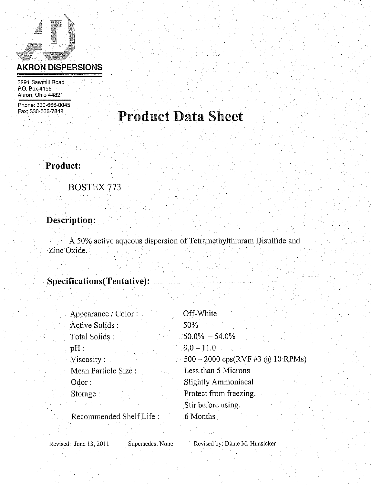## **AKRON DISPERSIONS**

3291 Sawmill Road P.O. Box 4195 Akron, Ohio 44321

Phone: 330-666-0045 Fax: 330-666-7842.

## **Product Data Sheet**

### Product:

### **BOSTEX 773**

## Description:

A 50% active aqueous dispersion of Tetramethylthiuram Disulfide and Zinc Oxide.

## Specifications(Tentative):

| Appearance / Color:     | Off-White                        |
|-------------------------|----------------------------------|
| Active Solids :         | 50%                              |
| Total Solids:           | $50.0\% - 54.0\%$                |
| $pH$ :                  | $9.0 - 11.0$                     |
| Viscosity:              | 500 - 2000 cps(RVF #3 @ 10 RPMs) |
| Mean Particle Size :    | Less than 5 Microns              |
| $0d$ or:                | <b>Slightly Ammoniacal</b>       |
| Storage:                | Protect from freezing.           |
|                         | Stir before using.               |
| Recommended Shelf Life: | 6 Months                         |

Revised: June 13, 2011

Supersedes: None

Revised by: Diane M. Hunsicker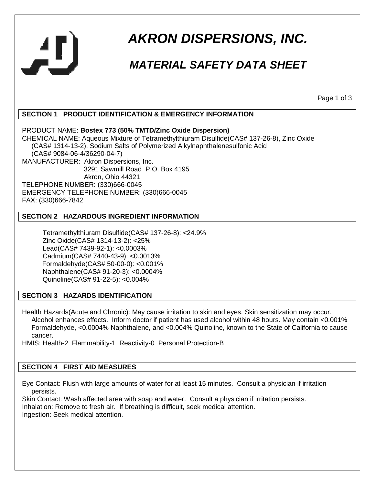

# **AKRON DISPERSIONS, INC.**

## **MATERIAL SAFETY DATA SHEET**

Page 1 of 3

#### **SECTION 1 PRODUCT IDENTIFICATION & EMERGENCY INFORMATION**

PRODUCT NAME: **Bostex 773 (50% TMTD/Zinc Oxide Dispersion)** CHEMICAL NAME: Aqueous Mixture of Tetramethylthiuram Disulfide(CAS# 137-26-8), Zinc Oxide (CAS# 1314-13-2), Sodium Salts of Polymerized Alkylnaphthalenesulfonic Acid (CAS# 9084-06-4/36290-04-7) MANUFACTURER: Akron Dispersions, Inc. 3291 Sawmill Road P.O. Box 4195 Akron, Ohio 44321 TELEPHONE NUMBER: (330)666-0045 EMERGENCY TELEPHONE NUMBER: (330)666-0045 FAX: (330)666-7842

#### **SECTION 2 HAZARDOUS INGREDIENT INFORMATION**

 Tetramethylthiuram Disulfide(CAS# 137-26-8): <24.9% Zinc Oxide(CAS# 1314-13-2): <25% Lead(CAS# 7439-92-1): <0.0003% Cadmium(CAS# 7440-43-9): <0.0013% Formaldehyde(CAS# 50-00-0): <0.001% Naphthalene(CAS# 91-20-3): <0.0004% Quinoline(CAS# 91-22-5): <0.004%

#### **SECTION 3 HAZARDS IDENTIFICATION**

Health Hazards(Acute and Chronic): May cause irritation to skin and eyes. Skin sensitization may occur. Alcohol enhances effects. Inform doctor if patient has used alcohol within 48 hours. May contain <0.001% Formaldehyde, <0.0004% Naphthalene, and <0.004% Quinoline, known to the State of California to cause cancer.

HMIS: Health-2 Flammability-1 Reactivity-0 Personal Protection-B

#### **SECTION 4 FIRST AID MEASURES**

Eye Contact: Flush with large amounts of water for at least 15 minutes. Consult a physician if irritation persists.

Skin Contact: Wash affected area with soap and water. Consult a physician if irritation persists. Inhalation: Remove to fresh air. If breathing is difficult, seek medical attention. Ingestion: Seek medical attention.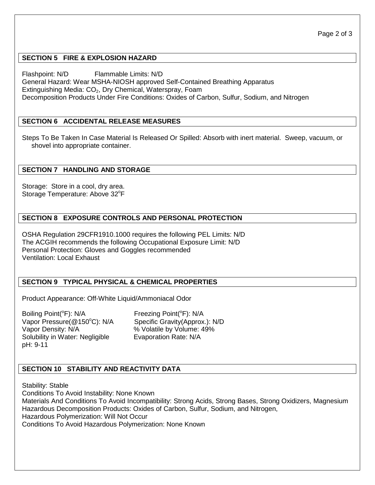#### **SECTION 5 FIRE & EXPLOSION HAZARD**

Flashpoint: N/D Flammable Limits: N/D General Hazard: Wear MSHA-NIOSH approved Self-Contained Breathing Apparatus Extinguishing Media:  $CO<sub>2</sub>$ , Dry Chemical, Waterspray, Foam Decomposition Products Under Fire Conditions: Oxides of Carbon, Sulfur, Sodium, and Nitrogen

#### **SECTION 6 ACCIDENTAL RELEASE MEASURES**

Steps To Be Taken In Case Material Is Released Or Spilled: Absorb with inert material. Sweep, vacuum, or shovel into appropriate container.

#### **SECTION 7 HANDLING AND STORAGE**

Storage: Store in a cool, dry area. Storage Temperature: Above 32°F

#### **SECTION 8 EXPOSURE CONTROLS AND PERSONAL PROTECTION**

OSHA Regulation 29CFR1910.1000 requires the following PEL Limits: N/D The ACGIH recommends the following Occupational Exposure Limit: N/D Personal Protection: Gloves and Goggles recommended Ventilation: Local Exhaust

#### **SECTION 9 TYPICAL PHYSICAL & CHEMICAL PROPERTIES**

Product Appearance: Off-White Liquid/Ammoniacal Odor

Boiling Point(<sup>o</sup>F): N/A Freezing Point(<sup>o</sup>F): N/A Vapor Pressure(@150°C): N/A Specific Gravity(Approx.): N/D Vapor Density: N/A<br>
Solubility in Water: Negligible Evaporation Rate: N/A Solubility in Water: Negligible pH: 9-11

#### **SECTION 10 STABILITY AND REACTIVITY DATA**

Stability: Stable Conditions To Avoid Instability: None Known Materials And Conditions To Avoid Incompatibility: Strong Acids, Strong Bases, Strong Oxidizers, Magnesium Hazardous Decomposition Products: Oxides of Carbon, Sulfur, Sodium, and Nitrogen, Hazardous Polymerization: Will Not Occur Conditions To Avoid Hazardous Polymerization: None Known